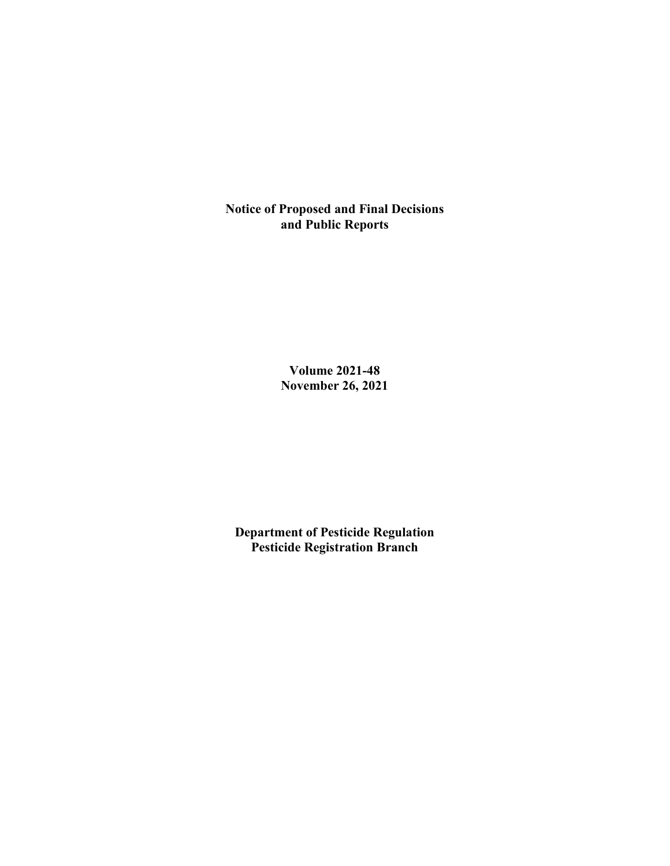**Notice of Proposed and Final Decisions and Public Reports**

> **Volume 2021-48 November 26, 2021**

**Department of Pesticide Regulation Pesticide Registration Branch**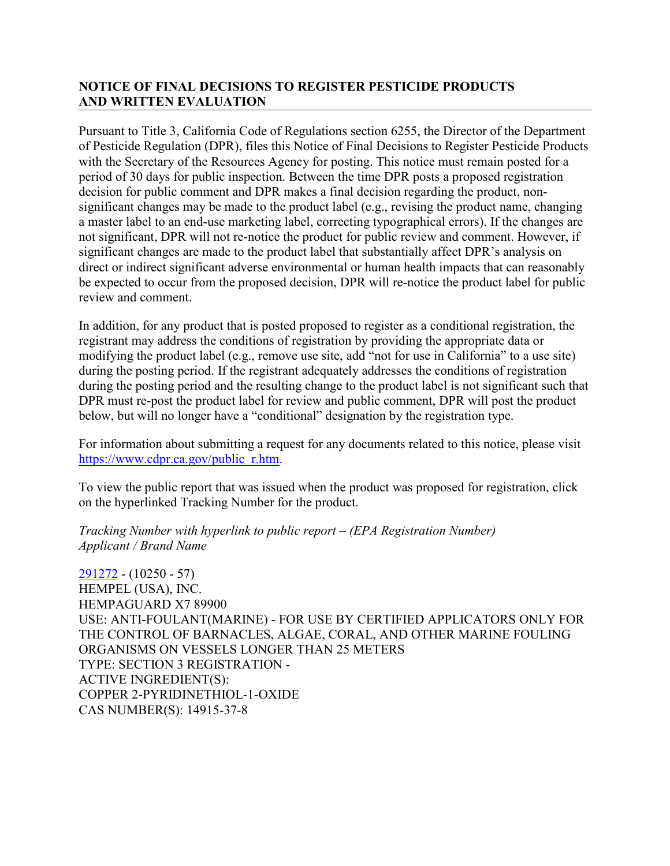## **NOTICE OF FINAL DECISIONS TO REGISTER PESTICIDE PRODUCTS AND WRITTEN EVALUATION**

Pursuant to Title 3, California Code of Regulations section 6255, the Director of the Department of Pesticide Regulation (DPR), files this Notice of Final Decisions to Register Pesticide Products with the Secretary of the Resources Agency for posting. This notice must remain posted for a period of 30 days for public inspection. Between the time DPR posts a proposed registration decision for public comment and DPR makes a final decision regarding the product, nonsignificant changes may be made to the product label (e.g., revising the product name, changing a master label to an end-use marketing label, correcting typographical errors). If the changes are not significant, DPR will not re-notice the product for public review and comment. However, if significant changes are made to the product label that substantially affect DPR's analysis on direct or indirect significant adverse environmental or human health impacts that can reasonably be expected to occur from the proposed decision, DPR will re-notice the product label for public review and comment.

In addition, for any product that is posted proposed to register as a conditional registration, the registrant may address the conditions of registration by providing the appropriate data or modifying the product label (e.g., remove use site, add "not for use in California" to a use site) during the posting period. If the registrant adequately addresses the conditions of registration during the posting period and the resulting change to the product label is not significant such that DPR must re-post the product label for review and public comment, DPR will post the product below, but will no longer have a "conditional" designation by the registration type.

For information about submitting a request for any documents related to this notice, please visit [https://www.cdpr.ca.gov/public\\_r.htm.](https://www.cdpr.ca.gov/public_r.htm)

To view the public report that was issued when the product was proposed for registration, click on the hyperlinked Tracking Number for the product.

*Tracking Number with hyperlink to public report – (EPA Registration Number) Applicant / Brand Name*

[291272](https://www.cdpr.ca.gov/docs/registration/nod/public_reports/291272.pdf) - (10250 - 57) HEMPEL (USA), INC. HEMPAGUARD X7 89900 USE: ANTI-FOULANT(MARINE) - FOR USE BY CERTIFIED APPLICATORS ONLY FOR THE CONTROL OF BARNACLES, ALGAE, CORAL, AND OTHER MARINE FOULING ORGANISMS ON VESSELS LONGER THAN 25 METERS TYPE: SECTION 3 REGISTRATION - ACTIVE INGREDIENT(S): COPPER 2-PYRIDINETHIOL-1-OXIDE CAS NUMBER(S): 14915-37-8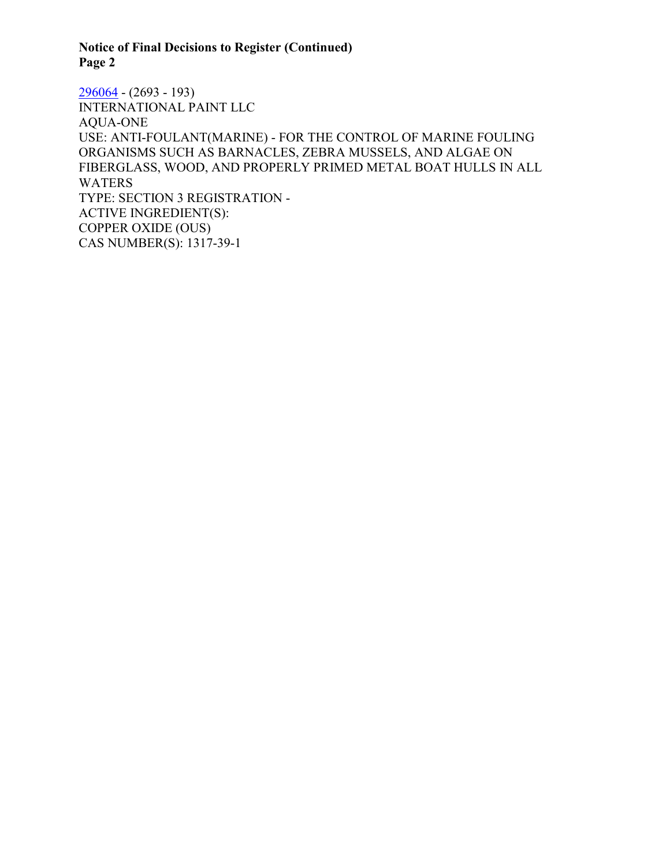# **Notice of Final Decisions to Register (Continued) Page 2**

 $296064 - (2693 - 193)$  $296064 - (2693 - 193)$ INTERNATIONAL PAINT LLC AQUA-ONE USE: ANTI-FOULANT(MARINE) - FOR THE CONTROL OF MARINE FOULING ORGANISMS SUCH AS BARNACLES, ZEBRA MUSSELS, AND ALGAE ON FIBERGLASS, WOOD, AND PROPERLY PRIMED METAL BOAT HULLS IN ALL WATERS TYPE: SECTION 3 REGISTRATION - ACTIVE INGREDIENT(S): COPPER OXIDE (OUS) CAS NUMBER(S): 1317-39-1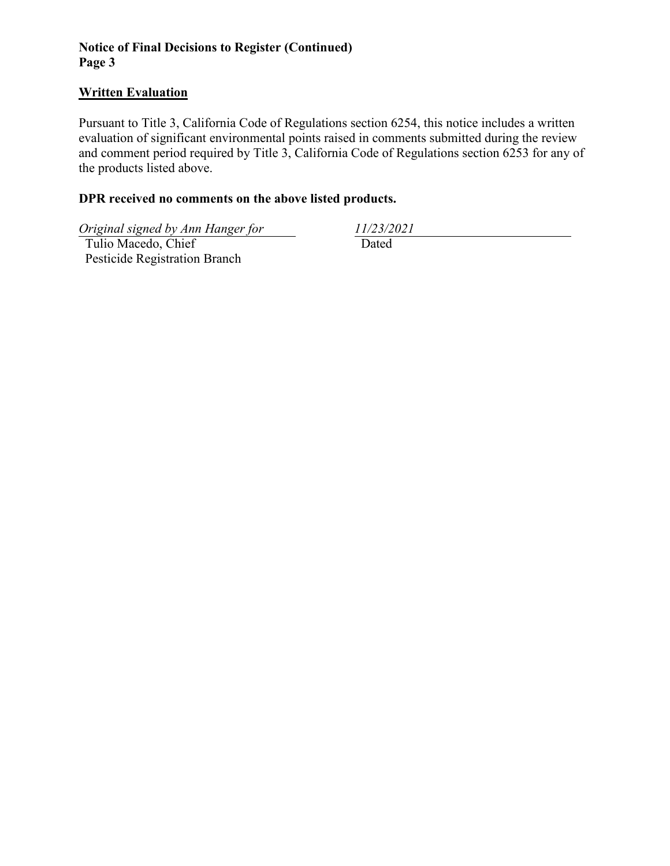# **Notice of Final Decisions to Register (Continued) Page 3**

#### **Written Evaluation**

Pursuant to Title 3, California Code of Regulations section 6254, this notice includes a written evaluation of significant environmental points raised in comments submitted during the review and comment period required by Title 3, California Code of Regulations section 6253 for any of the products listed above.

## **DPR received no comments on the above listed products.**

*Original signed by Ann Hanger for 11/23/2021*

 Tulio Macedo, Chief Pesticide Registration Branch

Dated